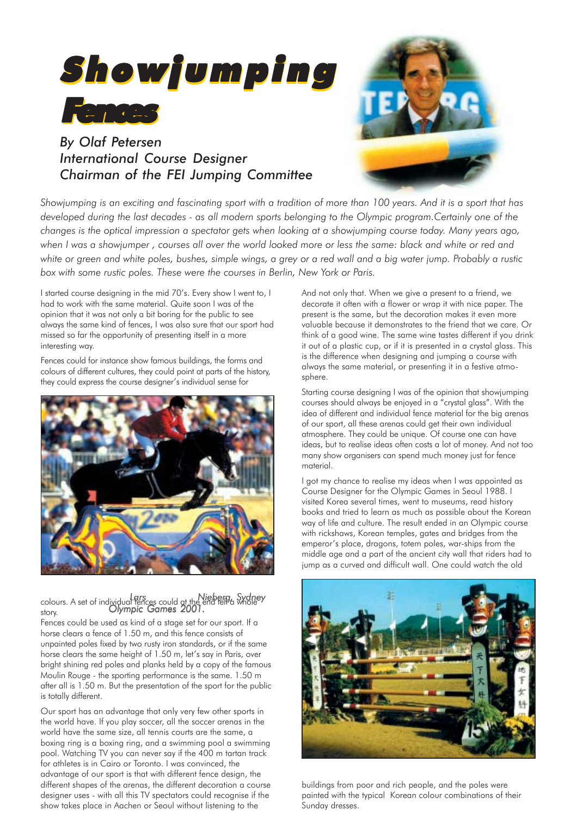

## *By Olaf Petersen International Course Designer Chairman of the FEI Jumping Committee*



*Showjumping is an exciting and fascinating sport with a tradition of more than 100 years. And it is a sport that has developed during the last decades - as all modern sports belonging to the Olympic program.Certainly one of the changes is the optical impression a spectator gets when looking at a showjumping course today. Many years ago, when I was a showjumper , courses all over the world looked more or less the same: black and white or red and white or green and white poles, bushes, simple wings, a grey or a red wall and a big water jump. Probably a rustic box with some rustic poles. These were the courses in Berlin, New York or Paris.*

I started course designing in the mid 70's. Every show I went to, I had to work with the same material. Quite soon I was of the opinion that it was not only a bit boring for the public to see always the same kind of fences, I was also sure that our sport had missed so far the opportunity of presenting itself in a more interesting way.

Fences could for instance show famous buildings, the forms and colours of different cultures, they could point at parts of the history, they could express the course designer's individual sense for



colours. A set of individual fences could at the end tell a whole story. *Lars Nieberg, Sydney Olympic Games 2001. Olympic Games 2001.*

Fences could be used as kind of a stage set for our sport. If a horse clears a fence of 1.50 m, and this fence consists of unpainted poles fixed by two rusty iron standards, or if the same horse clears the same height of 1.50 m, let's say in Paris, over bright shining red poles and planks held by a copy of the famous Moulin Rouge - the sporting performance is the same. 1.50 m after all is 1.50 m. But the presentation of the sport for the public is totally different.

Our sport has an advantage that only very few other sports in the world have. If you play soccer, all the soccer arenas in the world have the same size, all tennis courts are the same, a boxing ring is a boxing ring, and a swimming pool a swimming pool. Watching TV you can never say if the 400 m tartan track for athletes is in Cairo or Toronto. I was convinced, the advantage of our sport is that with different fence design, the different shapes of the arenas, the different decoration a course designer uses - with all this TV spectators could recognise if the show takes place in Aachen or Seoul without listening to the

And not only that. When we give a present to a friend, we decorate it often with a flower or wrap it with nice paper. The present is the same, but the decoration makes it even more valuable because it demonstrates to the friend that we care. Or think of a good wine. The same wine tastes different if you drink it out of a plastic cup, or if it is presented in a crystal glass. This is the difference when designing and jumping a course with always the same material, or presenting it in a festive atmosphere.

Starting course designing I was of the opinion that showjumping courses should always be enjoyed in a "crystal glass". With the idea of different and individual fence material for the big arenas of our sport, all these arenas could get their own individual atmosphere. They could be unique. Of course one can have ideas, but to realise ideas often costs a lot of money. And not too many show organisers can spend much money just for fence material.

I got my chance to realise my ideas when I was appointed as Course Designer for the Olympic Games in Seoul 1988. I visited Korea several times, went to museums, read history books and tried to learn as much as possible about the Korean way of life and culture. The result ended in an Olympic course with rickshaws, Korean temples, gates and bridges from the emperor's place, dragons, totem poles, war-ships from the middle age and a part of the ancient city wall that riders had to jump as a curved and difficult wall. One could watch the old



buildings from poor and rich people, and the poles were painted with the typical Korean colour combinations of their Sunday dresses.